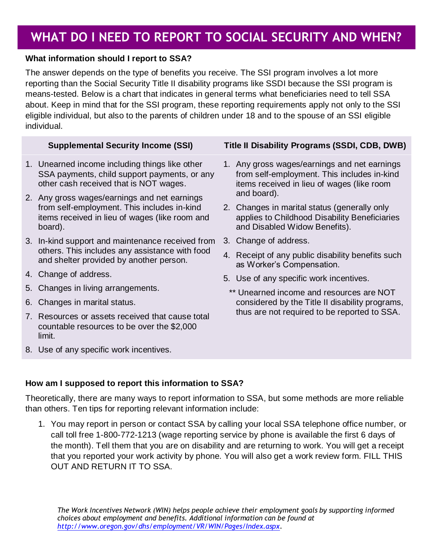# **WHAT DO I NEED TO REPORT TO SOCIAL SECURITY AND WHEN?**

## **What information should I report to SSA?**

The answer depends on the type of benefits you receive. The SSI program involves a lot more reporting than the Social Security Title II disability programs like SSDI because the SSI program is means-tested. Below is a chart that indicates in general terms what beneficiaries need to tell SSA about. Keep in mind that for the SSI program, these reporting requirements apply not only to the SSI eligible individual, but also to the parents of children under 18 and to the spouse of an SSI eligible individual.

- 1. Unearned income including things like other SSA payments, child support payments, or any other cash received that is NOT wages.
- 2. Any gross wages/earnings and net earnings from self-employment. This includes in-kind items received in lieu of wages (like room and board).
- 3. In-kind support and maintenance received from others. This includes any assistance with food and shelter provided by another person.
- 4. Change of address.
- 5. Changes in living arrangements.
- 6. Changes in marital status.
- 7. Resources or assets received that cause total countable resources to be over the \$2,000 limit.
- 8. Use of any specific work incentives.

# **Supplemental Security Income (SSI) Title II Disability Programs (SSDI, CDB, DWB)**

- 1. Any gross wages/earnings and net earnings from self-employment. This includes in-kind items received in lieu of wages (like room and board).
- 2. Changes in marital status (generally only applies to Childhood Disability Beneficiaries and Disabled Widow Benefits).
- 3. Change of address.
- 4. Receipt of any public disability benefits such as Worker's Compensation.
- 5. Use of any specific work incentives.
- \*\* Unearned income and resources are NOT considered by the Title II disability programs, thus are not required to be reported to SSA.

### **How am I supposed to report this information to SSA?**

Theoretically, there are many ways to report information to SSA, but some methods are more reliable than others. Ten tips for reporting relevant information include:

1. You may report in person or contact SSA by calling your local SSA telephone office number, or call toll free 1-800-772-1213 (wage reporting service by phone is available the first 6 days of the month). Tell them that you are on disability and are returning to work. You will get a receipt that you reported your work activity by phone. You will also get a work review form. FILL THIS OUT AND RETURN IT TO SSA.